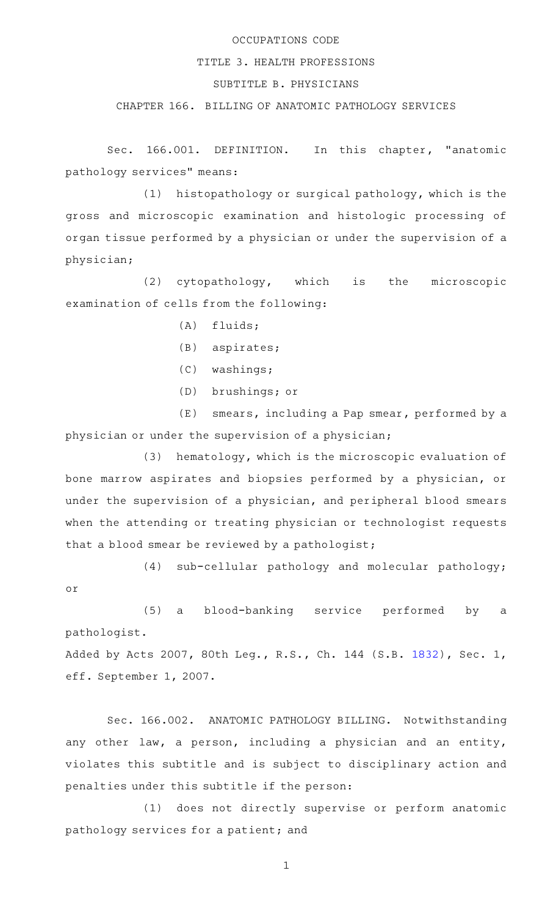## OCCUPATIONS CODE

## TITLE 3. HEALTH PROFESSIONS

## SUBTITLE B. PHYSICIANS

## CHAPTER 166. BILLING OF ANATOMIC PATHOLOGY SERVICES

Sec. 166.001. DEFINITION. In this chapter, "anatomic pathology services" means:

(1) histopathology or surgical pathology, which is the gross and microscopic examination and histologic processing of organ tissue performed by a physician or under the supervision of a physician;

(2) cytopathology, which is the microscopic examination of cells from the following:

- $(A)$  fluids;
- $(B)$  aspirates;
- (C) washings;

or

(D) brushings; or

 $(E)$  smears, including a Pap smear, performed by a physician or under the supervision of a physician;

(3) hematology, which is the microscopic evaluation of bone marrow aspirates and biopsies performed by a physician, or under the supervision of a physician, and peripheral blood smears when the attending or treating physician or technologist requests that a blood smear be reviewed by a pathologist;

 $(4)$  sub-cellular pathology and molecular pathology;

(5) a blood-banking service performed by a pathologist.

Added by Acts 2007, 80th Leg., R.S., Ch. 144 (S.B. [1832](http://www.legis.state.tx.us/tlodocs/80R/billtext/html/SB01832F.HTM)), Sec. 1, eff. September 1, 2007.

Sec. 166.002. ANATOMIC PATHOLOGY BILLING. Notwithstanding any other law, a person, including a physician and an entity, violates this subtitle and is subject to disciplinary action and penalties under this subtitle if the person:

(1) does not directly supervise or perform anatomic pathology services for a patient; and

1